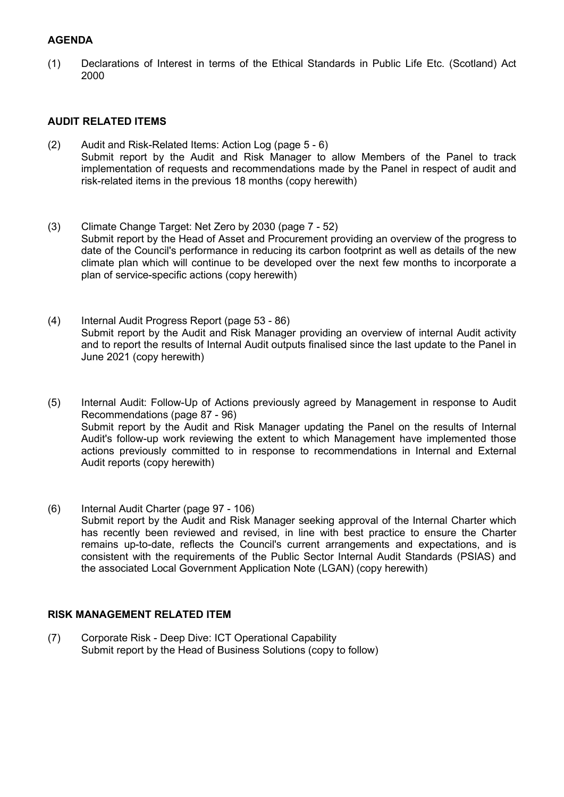## AGENDA

(1) Declarations of Interest in terms of the Ethical Standards in Public Life Etc. (Scotland) Act 2000

## AUDIT RELATED ITEMS

- (2) Audit and Risk-Related Items: Action Log (page 5 6) Submit report by the Audit and Risk Manager to allow Members of the Panel to track implementation of requests and recommendations made by the Panel in respect of audit and risk-related items in the previous 18 months (copy herewith)
- (3) Climate Change Target: Net Zero by 2030 (page 7 52) Submit report by the Head of Asset and Procurement providing an overview of the progress to date of the Council's performance in reducing its carbon footprint as well as details of the new climate plan which will continue to be developed over the next few months to incorporate a plan of service-specific actions (copy herewith)
- (4) Internal Audit Progress Report (page 53 86) Submit report by the Audit and Risk Manager providing an overview of internal Audit activity and to report the results of Internal Audit outputs finalised since the last update to the Panel in June 2021 (copy herewith)
- (5) Internal Audit: Follow-Up of Actions previously agreed by Management in response to Audit Recommendations (page 87 - 96) Submit report by the Audit and Risk Manager updating the Panel on the results of Internal Audit's follow-up work reviewing the extent to which Management have implemented those actions previously committed to in response to recommendations in Internal and External Audit reports (copy herewith)
- (6) Internal Audit Charter (page 97 106) Submit report by the Audit and Risk Manager seeking approval of the Internal Charter which has recently been reviewed and revised, in line with best practice to ensure the Charter remains up-to-date, reflects the Council's current arrangements and expectations, and is consistent with the requirements of the Public Sector Internal Audit Standards (PSIAS) and the associated Local Government Application Note (LGAN) (copy herewith)

## RISK MANAGEMENT RELATED ITEM

(7) Corporate Risk - Deep Dive: ICT Operational Capability Submit report by the Head of Business Solutions (copy to follow)